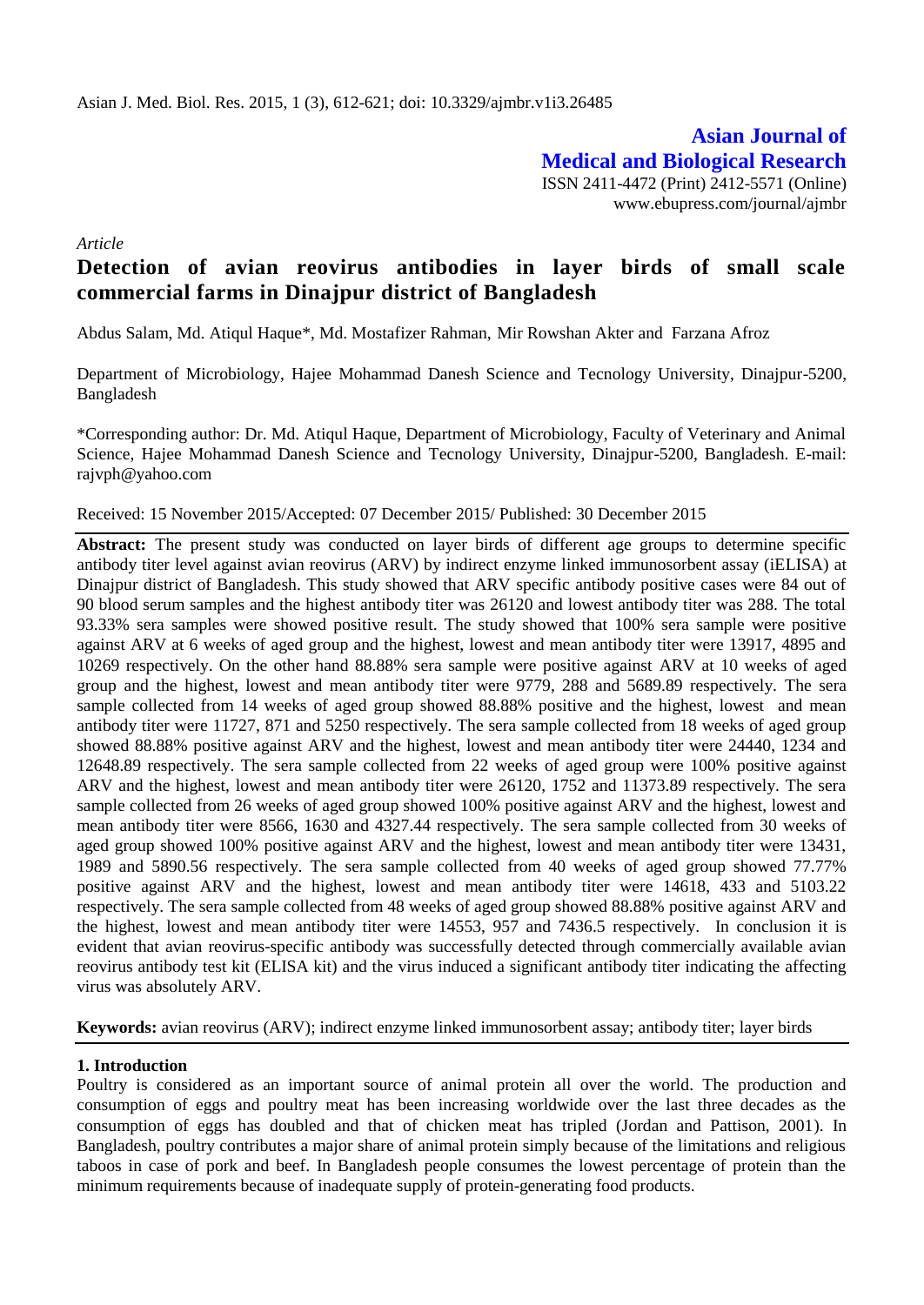**Asian Journal of Medical and Biological Research** ISSN 2411-4472 (Print) 2412-5571 (Online) www.ebupress.com/journal/ajmbr

*Article*

# **Detection of avian reovirus antibodies in layer birds of small scale commercial farms in Dinajpur district of Bangladesh**

Abdus Salam, Md. Atiqul Haque\*, Md. Mostafizer Rahman, Mir Rowshan Akter and Farzana Afroz

Department of Microbiology, Hajee Mohammad Danesh Science and Tecnology University, Dinajpur-5200, Bangladesh

\*Corresponding author: Dr. Md. Atiqul Haque, Department of Microbiology, Faculty of Veterinary and Animal Science, Hajee Mohammad Danesh Science and Tecnology University, Dinajpur-5200, Bangladesh. E-mail: rajvph@yahoo.com

#### Received: 15 November 2015/Accepted: 07 December 2015/ Published: 30 December 2015

**Abstract:** The present study was conducted on layer birds of different age groups to determine specific antibody titer level against avian reovirus (ARV) by indirect enzyme linked immunosorbent assay (iELISA) at Dinajpur district of Bangladesh. This study showed that ARV specific antibody positive cases were 84 out of 90 blood serum samples and the highest antibody titer was 26120 and lowest antibody titer was 288. The total 93.33% sera samples were showed positive result. The study showed that 100% sera sample were positive against ARV at 6 weeks of aged group and the highest, lowest and mean antibody titer were 13917, 4895 and 10269 respectively. On the other hand 88.88% sera sample were positive against ARV at 10 weeks of aged group and the highest, lowest and mean antibody titer were 9779, 288 and 5689.89 respectively. The sera sample collected from 14 weeks of aged group showed 88.88% positive and the highest, lowest and mean antibody titer were 11727, 871 and 5250 respectively. The sera sample collected from 18 weeks of aged group showed 88.88% positive against ARV and the highest, lowest and mean antibody titer were 24440, 1234 and 12648.89 respectively. The sera sample collected from 22 weeks of aged group were 100% positive against ARV and the highest, lowest and mean antibody titer were 26120, 1752 and 11373.89 respectively. The sera sample collected from 26 weeks of aged group showed 100% positive against ARV and the highest, lowest and mean antibody titer were 8566, 1630 and 4327.44 respectively. The sera sample collected from 30 weeks of aged group showed 100% positive against ARV and the highest, lowest and mean antibody titer were 13431, 1989 and 5890.56 respectively. The sera sample collected from 40 weeks of aged group showed 77.77% positive against ARV and the highest, lowest and mean antibody titer were 14618, 433 and 5103.22 respectively. The sera sample collected from 48 weeks of aged group showed 88.88% positive against ARV and the highest, lowest and mean antibody titer were 14553, 957 and 7436.5 respectively. In conclusion it is evident that avian reovirus-specific antibody was successfully detected through commercially available avian reovirus antibody test kit (ELISA kit) and the virus induced a significant antibody titer indicating the affecting virus was absolutely ARV.

**Keywords:** avian reovirus (ARV); indirect enzyme linked immunosorbent assay; antibody titer; layer birds

# **1. Introduction**

Poultry is considered as an important source of animal protein all over the world. The production and consumption of eggs and poultry meat has been increasing worldwide over the last three decades as the consumption of eggs has doubled and that of chicken meat has tripled (Jordan and Pattison, 2001). In Bangladesh, poultry contributes a major share of animal protein simply because of the limitations and religious taboos in case of pork and beef. In Bangladesh people consumes the lowest percentage of protein than the minimum requirements because of inadequate supply of protein-generating food products.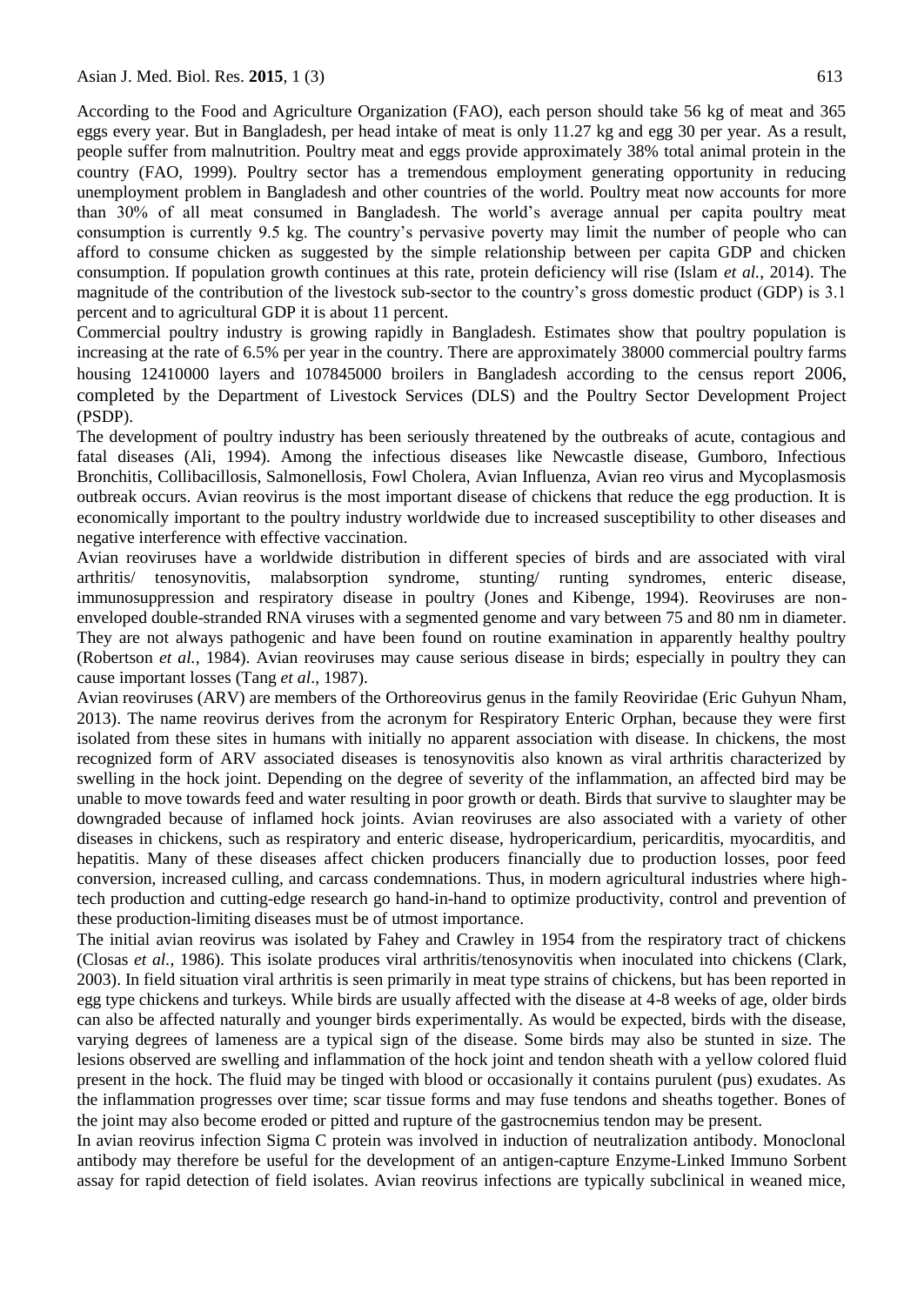According to the Food and Agriculture Organization (FAO), each person should take 56 kg of meat and 365 eggs every year. But in Bangladesh, per head intake of meat is only 11.27 kg and egg 30 per year. As a result, people suffer from malnutrition. Poultry meat and eggs provide approximately 38% total animal protein in the country (FAO, 1999). Poultry sector has a tremendous employment generating opportunity in reducing unemployment problem in Bangladesh and other countries of the world. Poultry meat now accounts for more than 30% of all meat consumed in Bangladesh. The world's average annual per capita poultry meat consumption is currently 9.5 kg. The country's pervasive poverty may limit the number of people who can afford to consume chicken as suggested by the simple relationship between per capita GDP and chicken consumption. If population growth continues at this rate, protein deficiency will rise (Islam *et al.*, 2014). The magnitude of the contribution of the livestock sub-sector to the country's gross domestic product (GDP) is 3.1 percent and to agricultural GDP it is about 11 percent.

Commercial poultry industry is growing rapidly in Bangladesh. Estimates show that poultry population is increasing at the rate of 6.5% per year in the country. There are approximately 38000 commercial poultry farms housing 12410000 layers and 107845000 broilers in Bangladesh according to the census report 2006, completed by the Department of Livestock Services (DLS) and the Poultry Sector Development Project (PSDP).

The development of poultry industry has been seriously threatened by the outbreaks of acute, contagious and fatal diseases (Ali, 1994). Among the infectious diseases like Newcastle disease, Gumboro, Infectious Bronchitis, Collibacillosis, Salmonellosis, Fowl Cholera, Avian Influenza, Avian reo virus and Mycoplasmosis outbreak occurs. Avian reovirus is the most important disease of chickens that reduce the egg production. It is economically important to the poultry industry worldwide due to increased susceptibility to other diseases and negative interference with effective vaccination.

Avian reoviruses have a worldwide distribution in different species of birds and are associated with viral arthritis/ tenosynovitis, malabsorption syndrome, stunting/ runting syndromes, enteric disease, immunosuppression and respiratory disease in poultry (Jones and Kibenge, 1994). Reoviruses are nonenveloped double-stranded RNA viruses with a segmented genome and vary between 75 and 80 nm in diameter. They are not always pathogenic and have been found on routine examination in apparently healthy poultry (Robertson *et al.*, 1984). Avian reoviruses may cause serious disease in birds; especially in poultry they can cause important losses (Tang *et al*., 1987).

Avian reoviruses (ARV) are members of the Orthoreovirus genus in the family Reoviridae (Eric Guhyun Nham, 2013). The name reovirus derives from the acronym for Respiratory Enteric Orphan, because they were first isolated from these sites in humans with initially no apparent association with disease. In chickens, the most recognized form of ARV associated diseases is tenosynovitis also known as viral arthritis characterized by swelling in the hock joint. Depending on the degree of severity of the inflammation, an affected bird may be unable to move towards feed and water resulting in poor growth or death. Birds that survive to slaughter may be downgraded because of inflamed hock joints. Avian reoviruses are also associated with a variety of other diseases in chickens, such as respiratory and enteric disease, hydropericardium, pericarditis, myocarditis, and hepatitis. Many of these diseases affect chicken producers financially due to production losses, poor feed conversion, increased culling, and carcass condemnations. Thus, in modern agricultural industries where hightech production and cutting-edge research go hand-in-hand to optimize productivity, control and prevention of these production-limiting diseases must be of utmost importance.

The initial avian reovirus was isolated by Fahey and Crawley in 1954 from the respiratory tract of chickens (Closas *et al.*, 1986). This isolate produces viral arthritis/tenosynovitis when inoculated into chickens (Clark, 2003). In field situation viral arthritis is seen primarily in meat type strains of chickens, but has been reported in egg type chickens and turkeys. While birds are usually affected with the disease at 4-8 weeks of age, older birds can also be affected naturally and younger birds experimentally. As would be expected, birds with the disease, varying degrees of lameness are a typical sign of the disease. Some birds may also be stunted in size. The lesions observed are swelling and inflammation of the hock joint and tendon sheath with a yellow colored fluid present in the hock. The fluid may be tinged with blood or occasionally it contains purulent (pus) exudates. As the inflammation progresses over time; scar tissue forms and may fuse tendons and sheaths together. Bones of the joint may also become eroded or pitted and rupture of the gastrocnemius tendon may be present.

In avian reovirus infection Sigma C protein was involved in induction of neutralization antibody. Monoclonal antibody may therefore be useful for the development of an antigen-capture Enzyme-Linked Immuno Sorbent assay for rapid detection of field isolates. Avian reovirus infections are typically subclinical in weaned mice,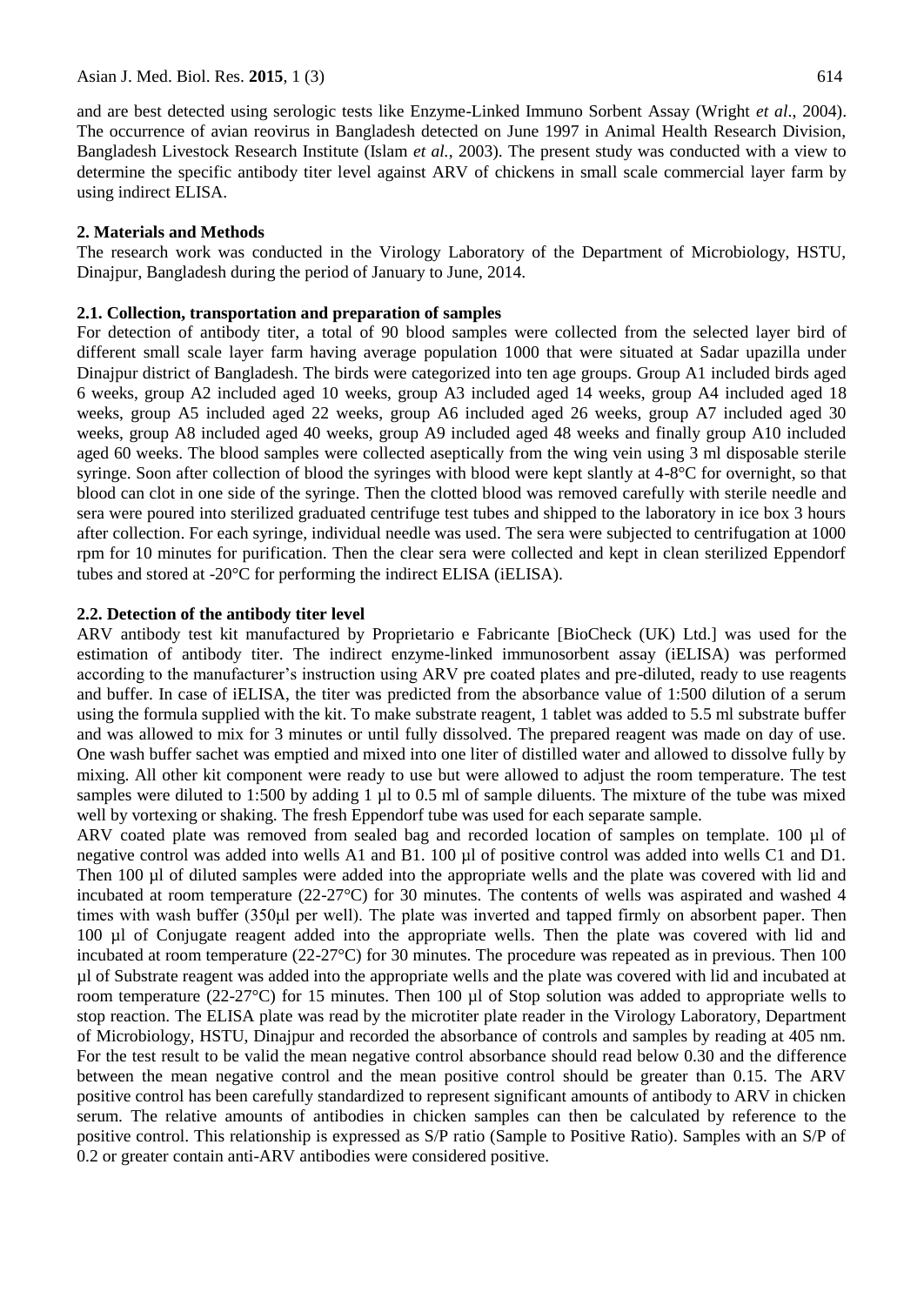and are best detected using serologic tests like Enzyme-Linked Immuno Sorbent Assay (Wright *et al*., 2004). The occurrence of avian reovirus in Bangladesh detected on June 1997 in Animal Health Research Division, Bangladesh Livestock Research Institute (Islam *et al.*, 2003). The present study was conducted with a view to determine the specific antibody titer level against ARV of chickens in small scale commercial layer farm by using indirect ELISA.

#### **2. Materials and Methods**

The research work was conducted in the Virology Laboratory of the Department of Microbiology, HSTU, Dinajpur, Bangladesh during the period of January to June, 2014.

#### **2.1. Collection, transportation and preparation of samples**

For detection of antibody titer, a total of 90 blood samples were collected from the selected layer bird of different small scale layer farm having average population 1000 that were situated at Sadar upazilla under Dinajpur district of Bangladesh. The birds were categorized into ten age groups. Group A1 included birds aged 6 weeks, group A2 included aged 10 weeks, group A3 included aged 14 weeks, group A4 included aged 18 weeks, group A5 included aged 22 weeks, group A6 included aged 26 weeks, group A7 included aged 30 weeks, group A8 included aged 40 weeks, group A9 included aged 48 weeks and finally group A10 included aged 60 weeks. The blood samples were collected aseptically from the wing vein using 3 ml disposable sterile syringe. Soon after collection of blood the syringes with blood were kept slantly at 4-8°C for overnight, so that blood can clot in one side of the syringe. Then the clotted blood was removed carefully with sterile needle and sera were poured into sterilized graduated centrifuge test tubes and shipped to the laboratory in ice box 3 hours after collection. For each syringe, individual needle was used. The sera were subjected to centrifugation at 1000 rpm for 10 minutes for purification. Then the clear sera were collected and kept in clean sterilized Eppendorf tubes and stored at -20°C for performing the indirect ELISA (iELISA).

#### **2.2. Detection of the antibody titer level**

ARV antibody test kit manufactured by Proprietario e Fabricante [BioCheck (UK) Ltd.] was used for the estimation of antibody titer. The indirect enzyme-linked immunosorbent assay (iELISA) was performed according to the manufacturer's instruction using ARV pre coated plates and pre-diluted, ready to use reagents and buffer. In case of iELISA, the titer was predicted from the absorbance value of 1:500 dilution of a serum using the formula supplied with the kit. To make substrate reagent, 1 tablet was added to 5.5 ml substrate buffer and was allowed to mix for 3 minutes or until fully dissolved. The prepared reagent was made on day of use. One wash buffer sachet was emptied and mixed into one liter of distilled water and allowed to dissolve fully by mixing. All other kit component were ready to use but were allowed to adjust the room temperature. The test samples were diluted to 1:500 by adding 1 µl to 0.5 ml of sample diluents. The mixture of the tube was mixed well by vortexing or shaking. The fresh Eppendorf tube was used for each separate sample.

ARV coated plate was removed from sealed bag and recorded location of samples on template. 100 µl of negative control was added into wells A1 and B1. 100 µl of positive control was added into wells C1 and D1. Then 100 µl of diluted samples were added into the appropriate wells and the plate was covered with lid and incubated at room temperature (22-27°C) for 30 minutes. The contents of wells was aspirated and washed 4 times with wash buffer (350μl per well). The plate was inverted and tapped firmly on absorbent paper. Then 100 µl of Conjugate reagent added into the appropriate wells. Then the plate was covered with lid and incubated at room temperature (22-27°C) for 30 minutes. The procedure was repeated as in previous. Then 100 µl of Substrate reagent was added into the appropriate wells and the plate was covered with lid and incubated at room temperature (22-27 $\degree$ C) for 15 minutes. Then 100 µl of Stop solution was added to appropriate wells to stop reaction. The ELISA plate was read by the microtiter plate reader in the Virology Laboratory, Department of Microbiology, HSTU, Dinajpur and recorded the absorbance of controls and samples by reading at 405 nm. For the test result to be valid the mean negative control absorbance should read below 0.30 and the difference between the mean negative control and the mean positive control should be greater than 0.15. The ARV positive control has been carefully standardized to represent significant amounts of antibody to ARV in chicken serum. The relative amounts of antibodies in chicken samples can then be calculated by reference to the positive control. This relationship is expressed as S/P ratio (Sample to Positive Ratio). Samples with an S/P of 0.2 or greater contain anti-ARV antibodies were considered positive.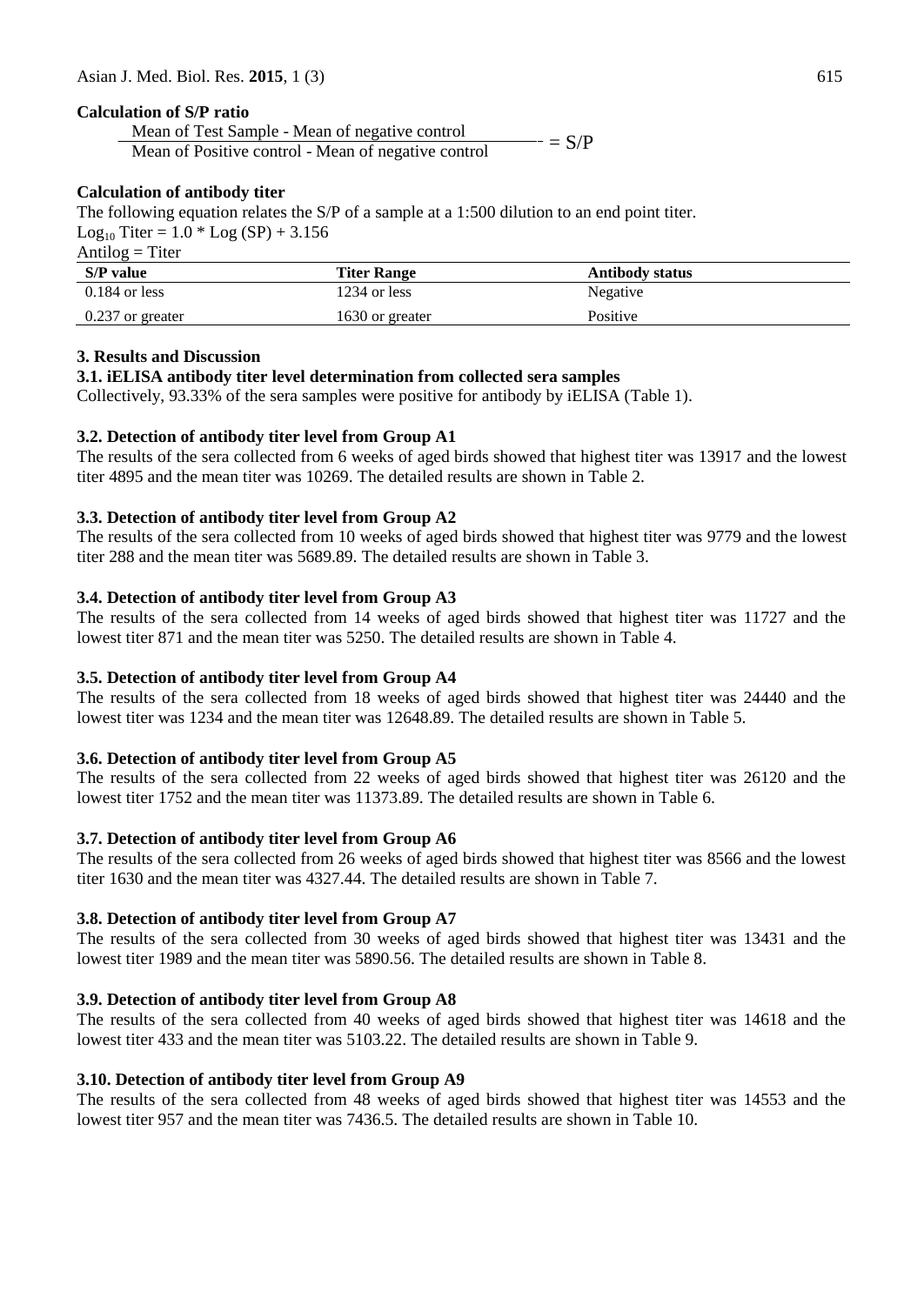# **Calculation of S/P ratio**

Mean of Test Sample - Mean of negative control Mean of Positive control - Mean of negative control  $-$  = S/P

# **Calculation of antibody titer**

The following equation relates the S/P of a sample at a 1:500 dilution to an end point titer.

Log<sub>10</sub> Titer =  $1.0 *$  Log (SP) + 3.156

 $Antilog = Titer$ 

| S/P value          | <b>Titer Range</b> | <b>Antibody status</b> |
|--------------------|--------------------|------------------------|
| $0.184$ or less    | 1234 or less       | Negative               |
| $0.237$ or greater | 1630 or greater    | Positive               |

# **3. Results and Discussion**

# **3.1. iELISA antibody titer level determination from collected sera samples**

Collectively, 93.33% of the sera samples were positive for antibody by iELISA (Table 1).

# **3.2. Detection of antibody titer level from Group A1**

The results of the sera collected from 6 weeks of aged birds showed that highest titer was 13917 and the lowest titer 4895 and the mean titer was 10269. The detailed results are shown in Table 2.

# **3.3. Detection of antibody titer level from Group A2**

The results of the sera collected from 10 weeks of aged birds showed that highest titer was 9779 and the lowest titer 288 and the mean titer was 5689.89. The detailed results are shown in Table 3.

# **3.4. Detection of antibody titer level from Group A3**

The results of the sera collected from 14 weeks of aged birds showed that highest titer was 11727 and the lowest titer 871 and the mean titer was 5250. The detailed results are shown in Table 4.

# **3.5. Detection of antibody titer level from Group A4**

The results of the sera collected from 18 weeks of aged birds showed that highest titer was 24440 and the lowest titer was 1234 and the mean titer was 12648.89. The detailed results are shown in Table 5.

# **3.6. Detection of antibody titer level from Group A5**

The results of the sera collected from 22 weeks of aged birds showed that highest titer was 26120 and the lowest titer 1752 and the mean titer was 11373.89. The detailed results are shown in Table 6.

# **3.7. Detection of antibody titer level from Group A6**

The results of the sera collected from 26 weeks of aged birds showed that highest titer was 8566 and the lowest titer 1630 and the mean titer was 4327.44. The detailed results are shown in Table 7.

# **3.8. Detection of antibody titer level from Group A7**

The results of the sera collected from 30 weeks of aged birds showed that highest titer was 13431 and the lowest titer 1989 and the mean titer was 5890.56. The detailed results are shown in Table 8.

# **3.9. Detection of antibody titer level from Group A8**

The results of the sera collected from 40 weeks of aged birds showed that highest titer was 14618 and the lowest titer 433 and the mean titer was 5103.22. The detailed results are shown in Table 9.

# **3.10. Detection of antibody titer level from Group A9**

The results of the sera collected from 48 weeks of aged birds showed that highest titer was 14553 and the lowest titer 957 and the mean titer was 7436.5. The detailed results are shown in Table 10.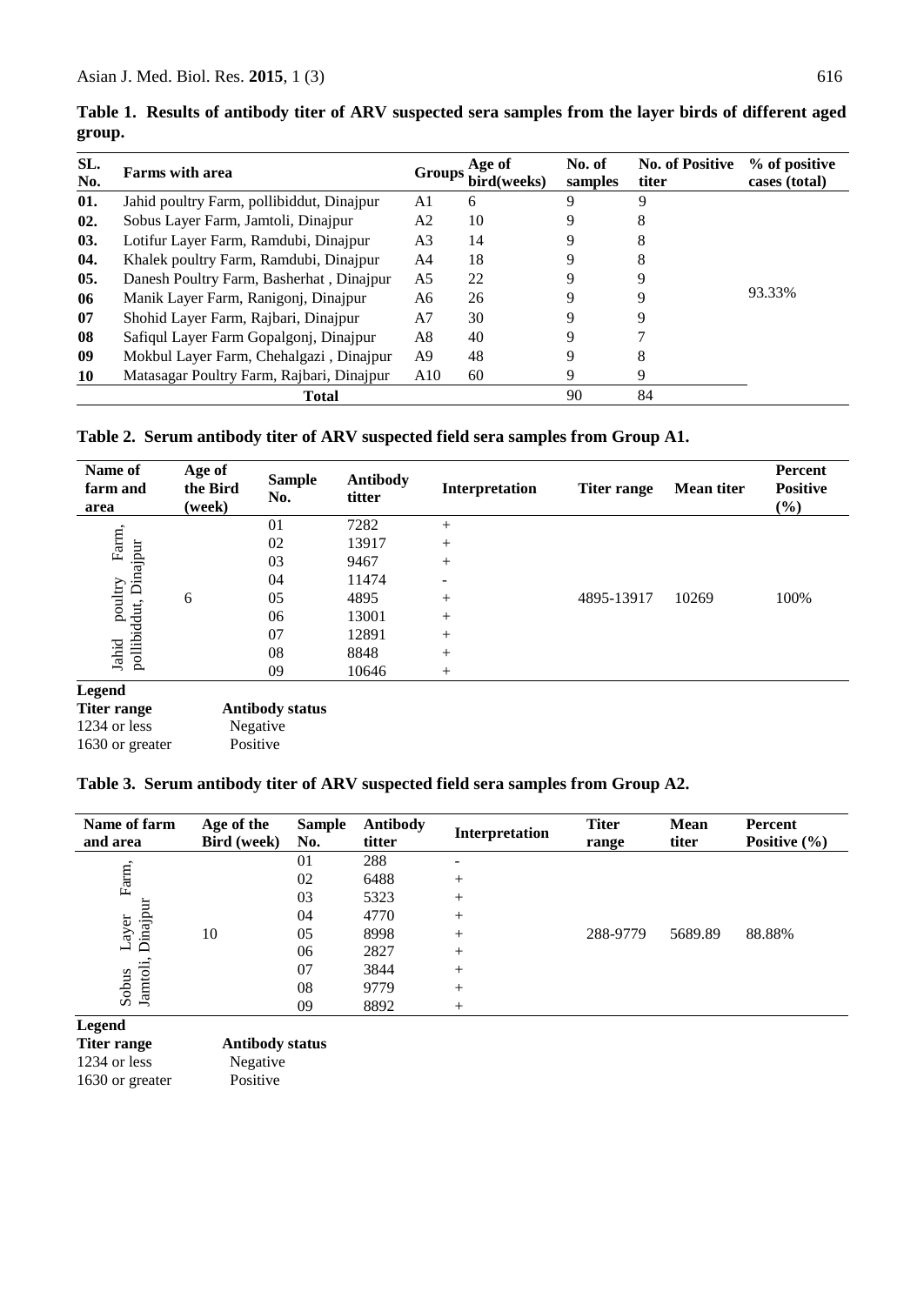| SL.<br>No. | <b>Farms</b> with area                    | Groups         | Age of<br>bird(weeks) | No. of<br>samples | <b>No. of Positive</b><br>titer | % of positive<br>cases (total) |
|------------|-------------------------------------------|----------------|-----------------------|-------------------|---------------------------------|--------------------------------|
| 01.        | Jahid poultry Farm, pollibiddut, Dinajpur | A1             | 6                     | 9                 | 9                               |                                |
| 02.        | Sobus Layer Farm, Jamtoli, Dinajpur       | A2             | 10                    | 9                 | 8                               |                                |
| 03.        | Lotifur Layer Farm, Ramdubi, Dinajpur     | A <sub>3</sub> | 14                    | 9                 | 8                               |                                |
| 04.        | Khalek poultry Farm, Ramdubi, Dinajpur    | A4             | 18                    | 9                 | 8                               |                                |
| 05.        | Danesh Poultry Farm, Basherhat, Dinajpur  | A <sub>5</sub> | 22                    | 9                 | 9                               |                                |
| 06         | Manik Layer Farm, Ranigonj, Dinajpur      | A6             | 26                    | 9                 | 9                               | 93.33%                         |
| 07         | Shohid Layer Farm, Rajbari, Dinajpur      | A7             | 30                    | 9                 | 9                               |                                |
| 08         | Safiqul Layer Farm Gopalgonj, Dinajpur    | A8             | 40                    | 9                 |                                 |                                |
| 09         | Mokbul Layer Farm, Chehalgazi, Dinajpur   | A9             | 48                    | 9                 | 8                               |                                |
| 10         | Matasagar Poultry Farm, Rajbari, Dinajpur | A10            | 60                    | 9                 | 9                               |                                |
|            | Total                                     |                |                       | 90                | 84                              |                                |

**Table 1. Results of antibody titer of ARV suspected sera samples from the layer birds of different aged group.**

# **Table 2. Serum antibody titer of ARV suspected field sera samples from Group A1.**

| Name of<br>farm and<br>area                       | Age of<br>the Bird<br>(week) | <b>Sample</b><br>No.   | <b>Antibody</b><br>titter | Interpretation | Titer range | <b>Mean titer</b> | <b>Percent</b><br><b>Positive</b><br>$(\%)$ |
|---------------------------------------------------|------------------------------|------------------------|---------------------------|----------------|-------------|-------------------|---------------------------------------------|
|                                                   |                              | 01                     | 7282                      | $+$            |             |                   |                                             |
| Farm,                                             |                              | 02                     | 13917                     | $+$            |             |                   |                                             |
| Dinajpur                                          |                              | 03                     | 9467                      | $+$            |             |                   |                                             |
|                                                   |                              | 04                     | 11474                     |                |             |                   |                                             |
|                                                   | 6                            | 05                     | 4895                      | $+$            | 4895-13917  | 10269             | 100%                                        |
| poultry<br>pollibiddut,                           |                              | 06                     | 13001                     |                |             |                   |                                             |
|                                                   |                              | 07                     | 12891                     | $+$            |             |                   |                                             |
| Jahid                                             |                              | 08                     | 8848                      | $+$            |             |                   |                                             |
|                                                   |                              | 09                     | 10646                     | $^{+}$         |             |                   |                                             |
| <b>Legend</b><br><b>Titer range</b><br>$1024 - 1$ |                              | <b>Antibody status</b> |                           |                |             |                   |                                             |

# 1234 or less Negative

# 1630 or greater Positive

#### **Table 3. Serum antibody titer of ARV suspected field sera samples from Group A2.**

| Name of farm<br>and area      | Age of the<br><b>Bird</b> (week) | <b>Sample</b><br>No. | Antibody<br>titter | Interpretation | <b>Titer</b><br>range | Mean<br>titer | Percent<br>Positive $(\% )$ |
|-------------------------------|----------------------------------|----------------------|--------------------|----------------|-----------------------|---------------|-----------------------------|
|                               |                                  | 01                   | 288                | -              |                       |               |                             |
| Farm,                         |                                  | 02                   | 6488               | $^{+}$         |                       |               |                             |
|                               |                                  | 03                   | 5323               | $^{+}$         |                       |               |                             |
| Dinajpur                      |                                  | 04                   | 4770               | $^{+}$         |                       |               |                             |
| ayer                          | 10                               | 05                   | 8998               | $^{+}$         | 288-9779              | 5689.89       | 88.88%                      |
| $\overline{\phantom{0}}$      |                                  | 06                   | 2827               | $^{+}$         |                       |               |                             |
|                               |                                  | 07                   | 3844               | $^{+}$         |                       |               |                             |
| Jamtoli,<br>Sobus             | 08                               | 9779                 | $^{+}$             |                |                       |               |                             |
|                               |                                  | 09                   | 8892               | $^{+}$         |                       |               |                             |
| $\mathbf{I}$ and $\mathbf{J}$ |                                  |                      |                    |                |                       |               |                             |

**Legend** 

**Titer range Antibody status**

1630 or greater Positive

1234 or less Negative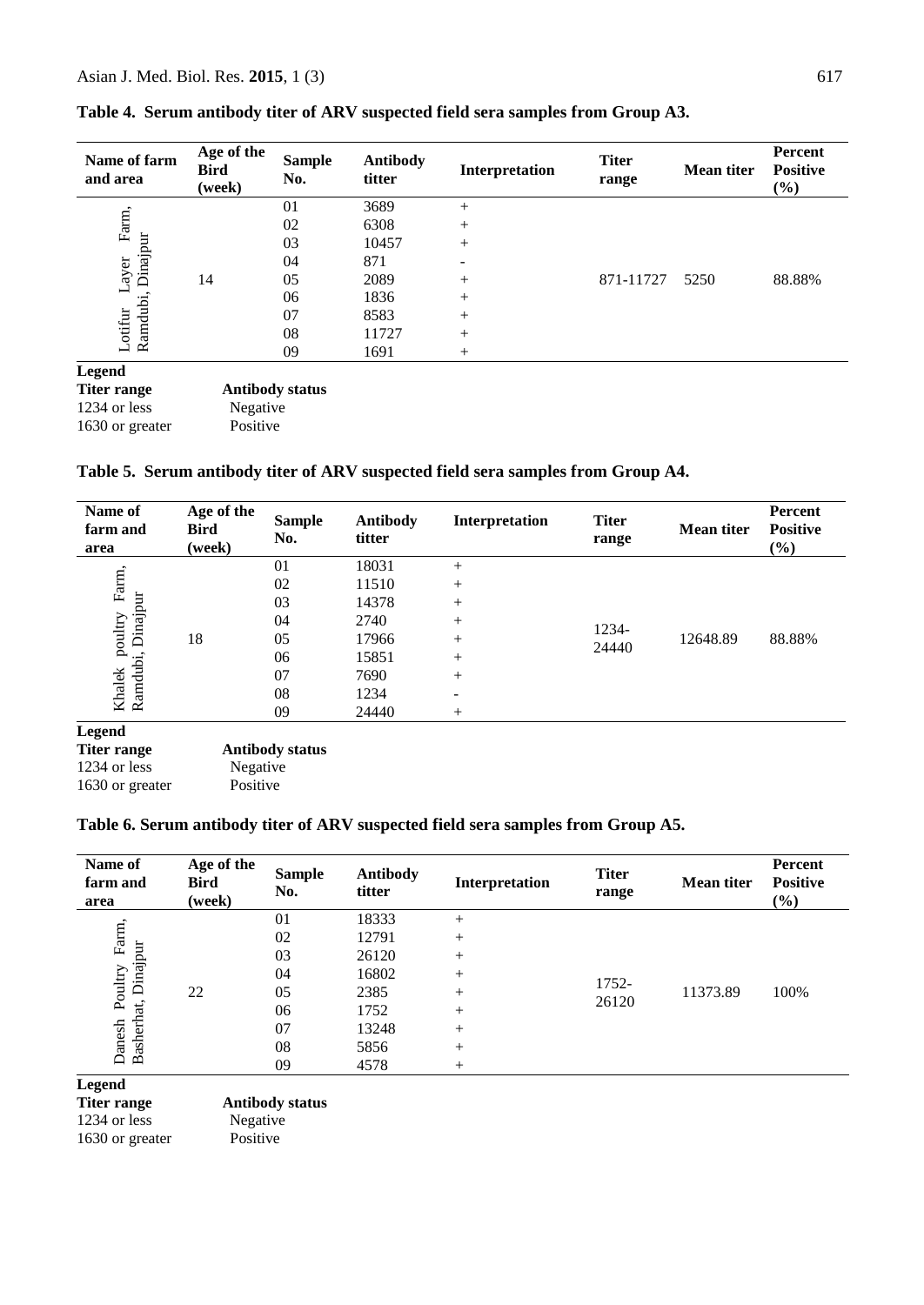| Name of farm<br>and area | Age of the<br><b>Bird</b><br>(week) | <b>Sample</b><br>No.   | <b>Antibody</b><br>titter | Interpretation | <b>Titer</b><br>range | <b>Mean titer</b> | Percent<br><b>Positive</b><br>$(\%)$ |
|--------------------------|-------------------------------------|------------------------|---------------------------|----------------|-----------------------|-------------------|--------------------------------------|
|                          |                                     | 01                     | 3689                      | $^{+}$         |                       |                   |                                      |
| Farm,                    |                                     | 02                     | 6308                      | $^{+}$         |                       |                   |                                      |
| Dinajpur                 |                                     | 03                     | 10457                     | $^{+}$         |                       |                   |                                      |
|                          |                                     | 04                     | 871                       | -              |                       |                   |                                      |
| Layer                    | 14                                  | 05                     | 2089                      | $^{+}$         | 871-11727             | 5250              | 88.88%                               |
|                          |                                     | 06                     | 1836                      | $^{+}$         |                       |                   |                                      |
| Ramdubi<br>Lotifur       |                                     | 07                     | 8583                      | $^{+}$         |                       |                   |                                      |
|                          |                                     | 08                     | 11727                     | $^{+}$         |                       |                   |                                      |
|                          |                                     | 09                     | 1691                      | $^{+}$         |                       |                   |                                      |
| <b>Legend</b>            |                                     |                        |                           |                |                       |                   |                                      |
| <b>Titer range</b>       |                                     | <b>Antibody status</b> |                           |                |                       |                   |                                      |
| 1234 or less             | Negative                            |                        |                           |                |                       |                   |                                      |
| 1630 or greater          | Positive                            |                        |                           |                |                       |                   |                                      |

|  | Table 4. Serum antibody titer of ARV suspected field sera samples from Group A3. |  |
|--|----------------------------------------------------------------------------------|--|
|  |                                                                                  |  |

**Table 5. Serum antibody titer of ARV suspected field sera samples from Group A4.**

| Name of<br>farm and<br>area | Age of the<br><b>Bird</b><br>(week) | <b>Sample</b><br>No.   | <b>Antibody</b><br>titter | Interpretation | <b>Titer</b><br>range | <b>Mean titer</b> | Percent<br><b>Positive</b><br>(%) |
|-----------------------------|-------------------------------------|------------------------|---------------------------|----------------|-----------------------|-------------------|-----------------------------------|
|                             |                                     | 01                     | 18031                     | $^{+}$         |                       |                   |                                   |
| Farm,                       |                                     | 02                     | 11510                     | $^{+}$         |                       |                   |                                   |
|                             |                                     | 03                     | 14378                     | $^{+}$         |                       |                   |                                   |
|                             |                                     | 04                     | 2740                      | $^{+}$         |                       |                   |                                   |
| Dinajpur<br>poultry         | 18                                  | 05                     | 17966                     | $^{+}$         | 1234-                 | 12648.89          | 88.88%                            |
|                             |                                     | 06                     | 15851                     | $^{+}$         | 24440                 |                   |                                   |
| Ramdubi,<br>Khalek          |                                     | 07                     | 7690                      | $^{+}$         |                       |                   |                                   |
|                             |                                     | 08                     | 1234                      | -              |                       |                   |                                   |
|                             |                                     | 09                     | 24440                     | $^{+}$         |                       |                   |                                   |
| <b>Legend</b>               |                                     |                        |                           |                |                       |                   |                                   |
| <b>Titer range</b>          |                                     | <b>Antibody status</b> |                           |                |                       |                   |                                   |
| 1234 or less                | Negative                            |                        |                           |                |                       |                   |                                   |

1630 or greater Positive

 $1630$  or greater

# **Table 6. Serum antibody titer of ARV suspected field sera samples from Group A5.**

| Name of<br>farm and<br>area | Age of the<br><b>Bird</b><br>(week) | <b>Sample</b><br>No. | <b>Antibody</b><br>titter | Interpretation | <b>Titer</b><br>range | <b>Mean titer</b> | Percent<br><b>Positive</b><br>$(\%)$ |
|-----------------------------|-------------------------------------|----------------------|---------------------------|----------------|-----------------------|-------------------|--------------------------------------|
|                             |                                     | 01                   | 18333                     | $^{+}$         |                       |                   |                                      |
| Farm.                       |                                     | 02                   | 12791                     | $^{+}$         |                       |                   |                                      |
| Dinajpur                    |                                     | 03                   | 26120                     | $^{+}$         |                       |                   |                                      |
|                             |                                     | 04                   | 16802                     | $^{+}$         | 1752-                 |                   |                                      |
| Poultry                     | 22                                  | 05                   | 2385                      | $^{+}$         |                       | 11373.89          | 100%                                 |
|                             |                                     | 06                   | 1752                      | $^{+}$         | 26120                 |                   |                                      |
|                             |                                     | 07                   | 13248                     | $^{+}$         |                       |                   |                                      |
| Basherhat,<br>Danesh        |                                     | 08                   | 5856                      | $^{+}$         |                       |                   |                                      |
|                             |                                     | 09                   | 4578                      | $^{+}$         |                       |                   |                                      |

**Legend** 

| Titer range     | <b>Antibody status</b> |
|-----------------|------------------------|
| 1234 or less    | Negative               |
| 1630 or greater | Positive               |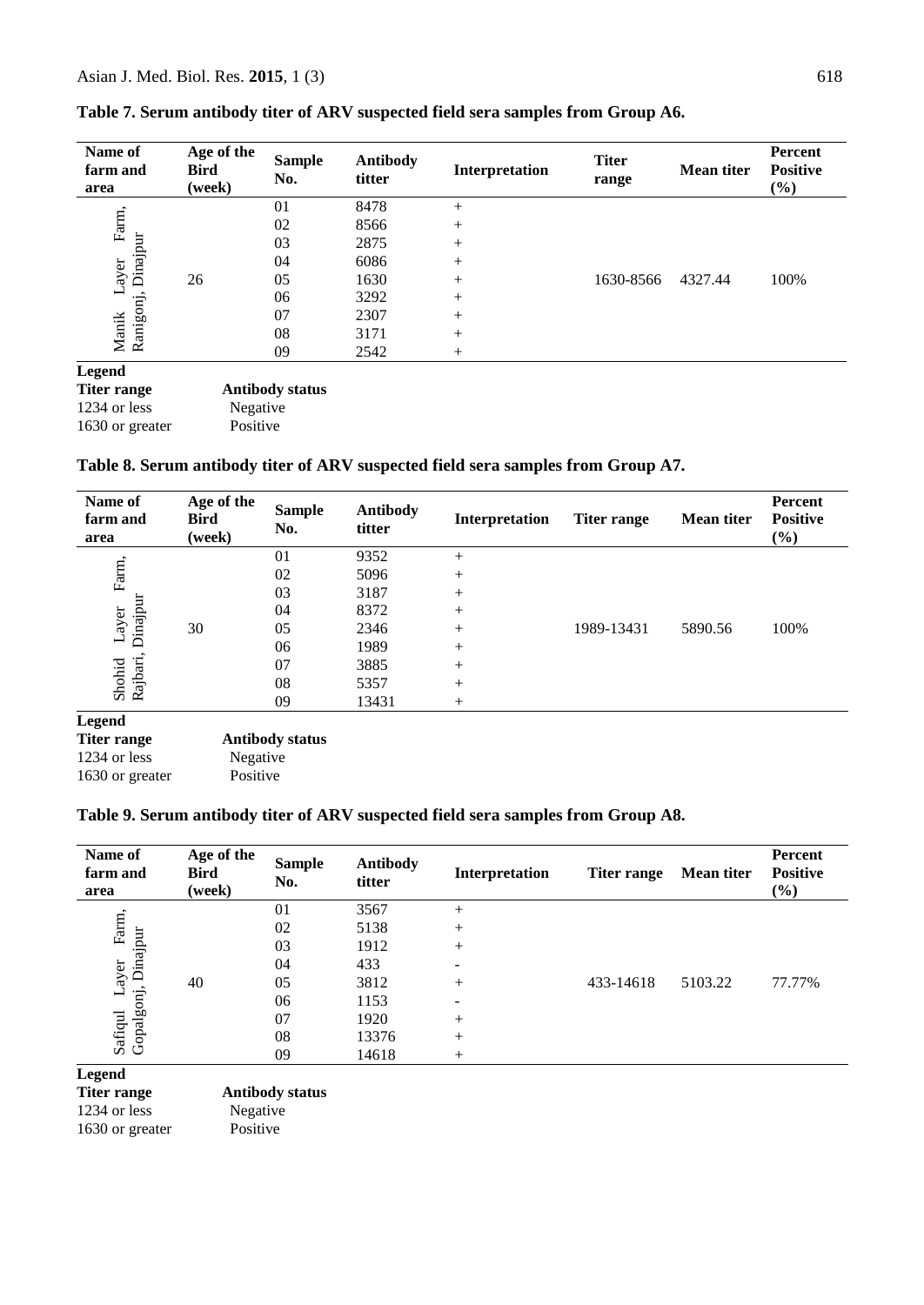| Name of<br>farm and<br>area | Age of the<br><b>Bird</b><br>(week) | <b>Sample</b><br>No.   | <b>Antibody</b><br>titter | Interpretation | <b>Titer</b><br>range | <b>Mean titer</b> | <b>Percent</b><br><b>Positive</b><br>$(\%)$ |
|-----------------------------|-------------------------------------|------------------------|---------------------------|----------------|-----------------------|-------------------|---------------------------------------------|
|                             |                                     | 01                     | 8478                      | $^{+}$         |                       |                   |                                             |
| Farm,                       |                                     | 02                     | 8566                      | $^{+}$         |                       |                   |                                             |
| Dinajpur                    |                                     | 03                     | 2875                      | $^{+}$         |                       |                   |                                             |
|                             |                                     | 04                     | 6086                      | $^{+}$         |                       |                   |                                             |
| ayer                        | 26                                  | 05                     | 1630                      | $+$            | 1630-8566             | 4327.44           | 100%                                        |
|                             |                                     | 06                     | 3292                      | $+$            |                       |                   |                                             |
| Manik<br>Ranigonj,          |                                     | 07                     | 2307                      | $+$            |                       |                   |                                             |
|                             |                                     | 08                     | 3171                      | $^{+}$         |                       |                   |                                             |
|                             |                                     | 09                     | 2542                      | $+$            |                       |                   |                                             |
| <b>Legend</b>               |                                     |                        |                           |                |                       |                   |                                             |
| <b>Titer range</b>          |                                     | <b>Antibody status</b> |                           |                |                       |                   |                                             |
| 1234 or less                | Negative                            |                        |                           |                |                       |                   |                                             |

# **Table 7. Serum antibody titer of ARV suspected field sera samples from Group A6.**

#### **Table 8. Serum antibody titer of ARV suspected field sera samples from Group A7.**

| Name of<br>farm and<br>area | Age of the<br><b>Bird</b><br>(week) | <b>Sample</b><br>No.                             | <b>Antibody</b><br>titter | Interpretation | <b>Titer range</b> | <b>Mean titer</b> | Percent<br><b>Positive</b><br>$(\%)$ |
|-----------------------------|-------------------------------------|--------------------------------------------------|---------------------------|----------------|--------------------|-------------------|--------------------------------------|
|                             |                                     | 01                                               | 9352                      | $^{+}$         |                    |                   |                                      |
| Farm,                       |                                     | 02                                               | 5096                      | $^{+}$         |                    |                   |                                      |
|                             |                                     | 03                                               | 3187                      | $^{+}$         |                    |                   |                                      |
| Dinajpur                    |                                     | 04                                               | 8372                      | $^{+}$         |                    |                   |                                      |
| Layer                       | 30                                  | 05                                               | 2346                      | $^{+}$         | 1989-13431         | 5890.56           | 100%                                 |
|                             |                                     | 06                                               | 1989                      | $^{+}$         |                    |                   |                                      |
| Shohid<br>Rajbari,          |                                     | 07                                               | 3885                      | $^{+}$         |                    |                   |                                      |
|                             |                                     | 08                                               | 5357                      | $^{+}$         |                    |                   |                                      |
|                             |                                     | 09                                               | 13431                     | $^{+}$         |                    |                   |                                      |
| <b>Legend</b><br>----       |                                     | $\sim$ $\sim$ $\sim$ $\sim$ $\sim$ $\sim$ $\sim$ |                           |                |                    |                   |                                      |

| Titer range     | <b>Antibody status</b> |
|-----------------|------------------------|
| 1234 or less    | Negative               |
| 1630 or greater | Positive               |

1630 or greater Positive

#### **Table 9. Serum antibody titer of ARV suspected field sera samples from Group A8.**

| Name of<br>farm and<br>area | Age of the<br><b>Bird</b><br>(week) | <b>Sample</b><br>No. | <b>Antibody</b><br>titter | Interpretation           | <b>Titer range</b> | <b>Mean titer</b> | Percent<br><b>Positive</b><br>$(\%)$ |
|-----------------------------|-------------------------------------|----------------------|---------------------------|--------------------------|--------------------|-------------------|--------------------------------------|
|                             | 40                                  | 01                   | 3567                      | $^{+}$                   | 433-14618          | 5103.22           | 77.77%                               |
| Farm,                       |                                     | 02                   | 5138                      | $^{+}$                   |                    |                   |                                      |
| Dinajpur                    |                                     | 03                   | 1912                      | $+$                      |                    |                   |                                      |
|                             |                                     | 04                   | 433                       | $\overline{\phantom{a}}$ |                    |                   |                                      |
| ayer.                       |                                     | 05                   | 3812                      | $+$                      |                    |                   |                                      |
|                             |                                     | 06                   | 1153                      | $\overline{\phantom{0}}$ |                    |                   |                                      |
| Safiqul L<br>Gopalgonj,     |                                     | 07                   | 1920                      | $+$                      |                    |                   |                                      |
|                             |                                     | 08                   | 13376                     | $^{+}$                   |                    |                   |                                      |
|                             |                                     | 09                   | 14618                     | $^{+}$                   |                    |                   |                                      |
| Legend                      |                                     |                      |                           |                          |                    |                   |                                      |

**Titer range Antibody status**<br>1234 or less **Negative**  $1234$  or less 1630 or greater Positive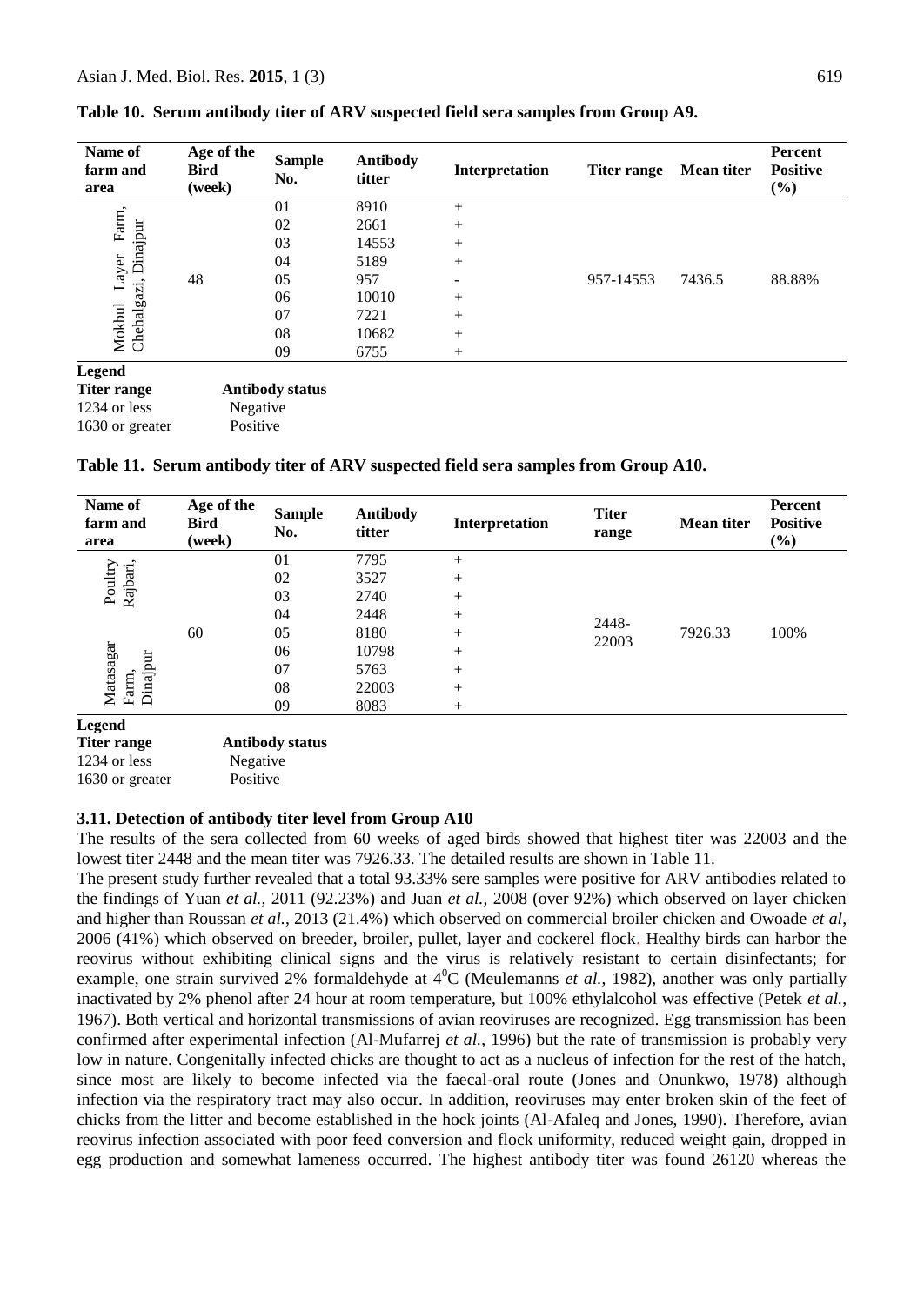1630 or greater Positive

| Name of<br>farm and<br>area                           | Age of the<br><b>Bird</b><br>(week) | <b>Sample</b><br>No.   | <b>Antibody</b><br>titter | Interpretation           | <b>Titer range</b> | <b>Mean titer</b> | Percent<br><b>Positive</b><br>(%) |
|-------------------------------------------------------|-------------------------------------|------------------------|---------------------------|--------------------------|--------------------|-------------------|-----------------------------------|
| Farm,<br>Dinajpur<br>ayer<br>Mokbul La<br>Chehalgazi, |                                     | 01                     | 8910                      | $+$                      | 957-14553          | 7436.5            | 88.88%                            |
|                                                       |                                     | 02                     | 2661                      | $+$                      |                    |                   |                                   |
|                                                       |                                     | 03                     | 14553                     | $+$                      |                    |                   |                                   |
|                                                       |                                     | 04                     | 5189                      | $+$                      |                    |                   |                                   |
|                                                       | 48                                  | 05                     | 957                       | $\overline{\phantom{0}}$ |                    |                   |                                   |
|                                                       |                                     | 06                     | 10010                     | $+$                      |                    |                   |                                   |
|                                                       |                                     | 07                     | 7221                      | $+$                      |                    |                   |                                   |
|                                                       |                                     | 08                     | 10682                     | $+$                      |                    |                   |                                   |
|                                                       |                                     | 09                     | 6755                      | $+$                      |                    |                   |                                   |
| Legend                                                |                                     |                        |                           |                          |                    |                   |                                   |
| <b>Titer range</b>                                    |                                     | <b>Antibody status</b> |                           |                          |                    |                   |                                   |
| 1234 or less                                          |                                     | Negative               |                           |                          |                    |                   |                                   |

#### **Table 10. Serum antibody titer of ARV suspected field sera samples from Group A9.**

**Table 11. Serum antibody titer of ARV suspected field sera samples from Group A10.**

| Name of<br>farm and<br>area                           | Age of the<br><b>Bird</b><br>(week) | <b>Sample</b><br>No. | <b>Antibody</b><br>titter | Interpretation | <b>Titer</b><br>range | <b>Mean titer</b> | Percent<br><b>Positive</b><br>(%) |
|-------------------------------------------------------|-------------------------------------|----------------------|---------------------------|----------------|-----------------------|-------------------|-----------------------------------|
| Rajbari,<br>Poultry<br>Matasagar<br>Dinajpur<br>Farm, |                                     | 01                   | 7795                      | $^{+}$         | 2448-<br>22003        |                   | 100%                              |
|                                                       |                                     | 02                   | 3527                      | $^{+}$         |                       |                   |                                   |
|                                                       | 60                                  | 03                   | 2740                      | $^{+}$         |                       | 7926.33           |                                   |
|                                                       |                                     | 04                   | 2448                      | $^{+}$         |                       |                   |                                   |
|                                                       |                                     | 05                   | 8180                      | $^{+}$         |                       |                   |                                   |
|                                                       |                                     | 06                   | 10798                     | $^{+}$         |                       |                   |                                   |
|                                                       |                                     | 07                   | 5763                      | $^{+}$         |                       |                   |                                   |
|                                                       |                                     | 08                   | 22003                     | $^{+}$         |                       |                   |                                   |
|                                                       |                                     | 09                   | 8083                      | $^{+}$         |                       |                   |                                   |
| <b>Legend</b>                                         |                                     |                      |                           |                |                       |                   |                                   |

| Titer range     | <b>Antibody status</b> |  |  |
|-----------------|------------------------|--|--|
| 1234 or less    | Negative               |  |  |
| 1630 or greater | Positive               |  |  |

#### **3.11. Detection of antibody titer level from Group A10**

The results of the sera collected from 60 weeks of aged birds showed that highest titer was 22003 and the lowest titer 2448 and the mean titer was 7926.33. The detailed results are shown in Table 11.

The present study further revealed that a total 93.33% sere samples were positive for ARV antibodies related to the findings of Yuan *et al.*, 2011 (92.23%) and Juan *et al.*, 2008 (over 92%) which observed on layer chicken and higher than Roussan *et al.*, 2013 (21.4%) which observed on commercial broiler chicken and Owoade *et al*, 2006 (41%) which observed on breeder, broiler, pullet, layer and cockerel flock. Healthy birds can harbor the reovirus without exhibiting clinical signs and the virus is relatively resistant to certain disinfectants; for example, one strain survived 2% formaldehyde at  $4^{\circ}$ C (Meulemanns *et al.*, 1982), another was only partially inactivated by 2% phenol after 24 hour at room temperature, but 100% ethylalcohol was effective (Petek *et al.*, 1967). Both vertical and horizontal transmissions of avian reoviruses are recognized. Egg transmission has been confirmed after experimental infection (Al-Mufarrej *et al.*, 1996) but the rate of transmission is probably very low in nature. Congenitally infected chicks are thought to act as a nucleus of infection for the rest of the hatch, since most are likely to become infected via the faecal-oral route (Jones and Onunkwo, 1978) although infection via the respiratory tract may also occur. In addition, reoviruses may enter broken skin of the feet of chicks from the litter and become established in the hock joints (Al-Afaleq and Jones, 1990). Therefore, avian reovirus infection associated with poor feed conversion and flock uniformity, reduced weight gain, dropped in egg production and somewhat lameness occurred. The highest antibody titer was found 26120 whereas the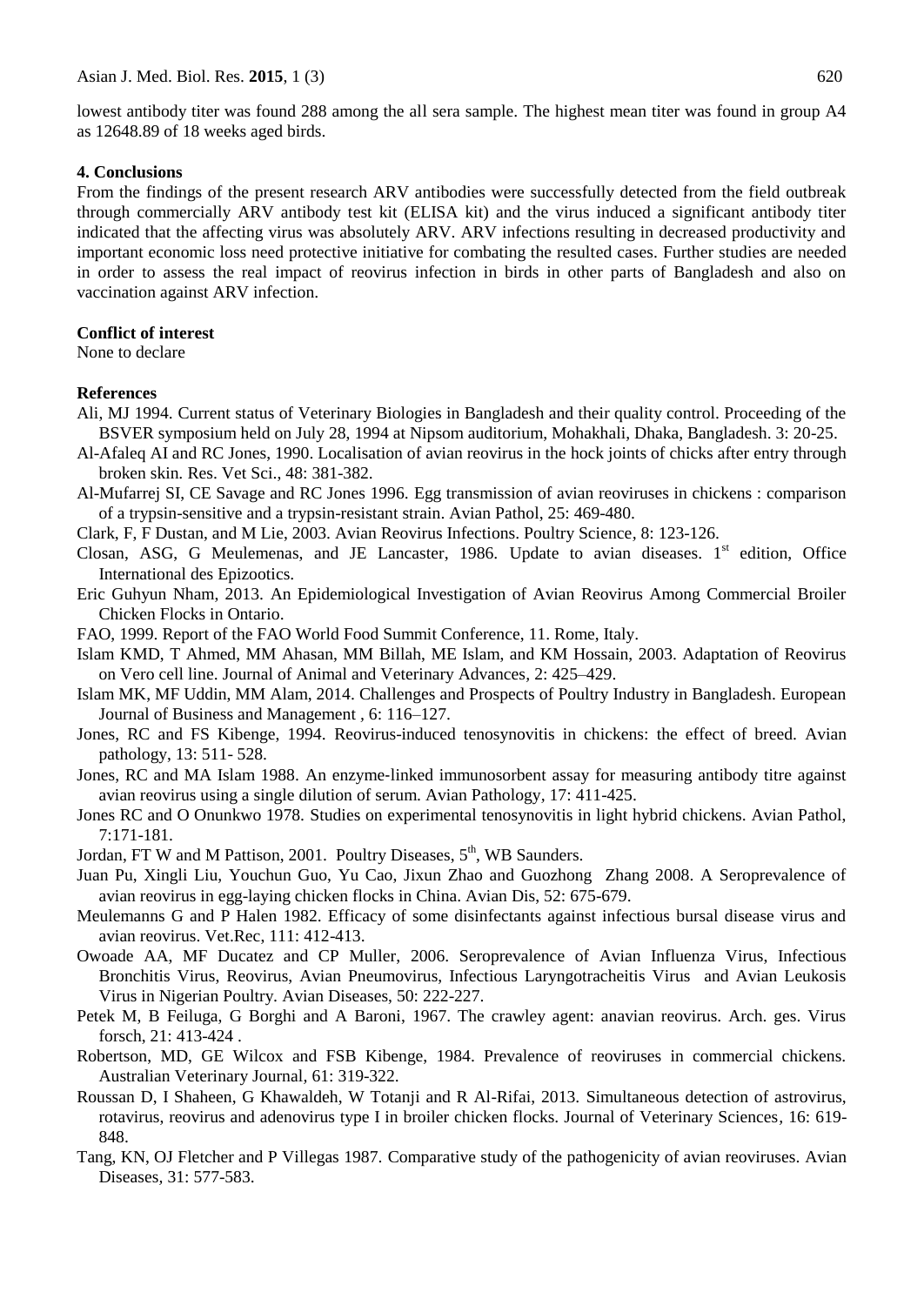lowest antibody titer was found 288 among the all sera sample. The highest mean titer was found in group A4 as 12648.89 of 18 weeks aged birds.

#### **4. Conclusions**

From the findings of the present research ARV antibodies were successfully detected from the field outbreak through commercially ARV antibody test kit (ELISA kit) and the virus induced a significant antibody titer indicated that the affecting virus was absolutely ARV. ARV infections resulting in decreased productivity and important economic loss need protective initiative for combating the resulted cases. Further studies are needed in order to assess the real impact of reovirus infection in birds in other parts of Bangladesh and also on vaccination against ARV infection.

# **Conflict of interest**

None to declare

#### **References**

- Ali, MJ 1994. Current status of Veterinary Biologies in Bangladesh and their quality control. Proceeding of the BSVER symposium held on July 28, 1994 at Nipsom auditorium, Mohakhali, Dhaka, Bangladesh. 3: 20-25.
- Al-Afaleq AI and RC Jones, 1990. Localisation of avian reovirus in the hock joints of chicks after entry through broken skin*.* Res. Vet Sci., 48: 381-382.
- Al-Mufarrej SI, CE Savage and RC Jones 1996. Egg transmission of avian reoviruses in chickens : comparison of a trypsin-sensitive and a trypsin-resistant strain. Avian Pathol, 25: 469-480.
- Clark, F, F Dustan, and M Lie, 2003. Avian Reovirus Infections. Poultry Science*,* 8: 123-126.
- Closan, ASG, G Meulemenas, and JE Lancaster, 1986. Update to avian diseases.  $1<sup>st</sup>$  edition, Office International des Epizootics.
- Eric Guhyun Nham, 2013. An Epidemiological Investigation of Avian Reovirus Among Commercial Broiler Chicken Flocks in Ontario.
- FAO, 1999. Report of the FAO World Food Summit Conference, 11. Rome, Italy.
- Islam [KMD,](file:///E:/Â /SALAM/av%20re/Pathogenesis%20of%20experimental%20reovirus%20tenosynovitis%20in%20chickens_%20Influence%20of%20the%20route%20of%20infection.html) T Ahmed, MM Ahasan, MM Billah, ME Islam, and KM Hossain, 2003. Adaptation of Reovirus on Vero cell line. [Journal of Animal and Veterinary Advances](http://www.sciencedirect.com/science/journal/00219975)*,* 2: 425–429.
- Islam MK, MF Uddin, MM Alam, 2014. Challenges and Prospects of Poultry Industry in Bangladesh. European [Journal of Business and M](http://www.sciencedirect.com/science/journal/00219975)anagement *,* 6: 116–127.
- Jones, RC and FS Kibenge, 1994. Reovirus-induced tenosynovitis in chickens: the effect of breed. Avian pathology, 13: 511- 528.
- Jones, RC and MA Islam 1988. An enzyme‐linked immunosorbent assay for measuring antibody titre against avian reovirus using a single dilution of serum. Avian Pathology*,* 17: 411-425.
- Jones RC and O Onunkwo 1978. Studies on experimental tenosynovitis in light hybrid chickens. Avian Pathol, 7:171-181.
- Jordan, FT W and M Pattison, 2001. Poultry Diseases, 5<sup>th</sup>, WB Saunders.
- Juan Pu, Xingli Liu, Youchun Guo, Yu Cao, Jixun Zhao and Guozhong Zhang 2008. A Seroprevalence of avian reovirus in egg-laying chicken flocks in China. Avian Dis, 52: 675-679.
- Meulemanns G and P Halen 1982. Efficacy of some disinfectants against infectious bursal disease virus and avian reovirus. Vet.Rec, 111: 412-413.
- Owoade AA, MF Ducatez and CP Muller, 2006. Seroprevalence of Avian Influenza Virus, Infectious Bronchitis Virus, Reovirus, Avian Pneumovirus, Infectious Laryngotracheitis Virus and Avian Leukosis Virus in Nigerian Poultry*.* Avian Diseases, 50: 222-227.
- Petek M, B Feiluga, G Borghi and A Baroni, 1967. The crawley agent: anavian reovirus. Arch. ges. Virus forsch, 21: 413-424 .
- Robertson, MD, GE Wilcox and FSB Kibenge, 1984. Prevalence of reoviruses in commercial chickens. Australian Veterinary Journal*,* 61: 319-322.
- Roussan D, I Shaheen, G Khawaldeh, W Totanji and R Al-Rifai, 2013. Simultaneous detection of astrovirus, rotavirus, reovirus and adenovirus type I in broiler chicken flocks. Journal of Veterinary Sciences*,* 16: 619- 848.
- Tang, KN, OJ Fletcher and P Villegas 1987. Comparative study of the pathogenicity of avian reoviruses. Avian Diseases*,* 31: 577-583.